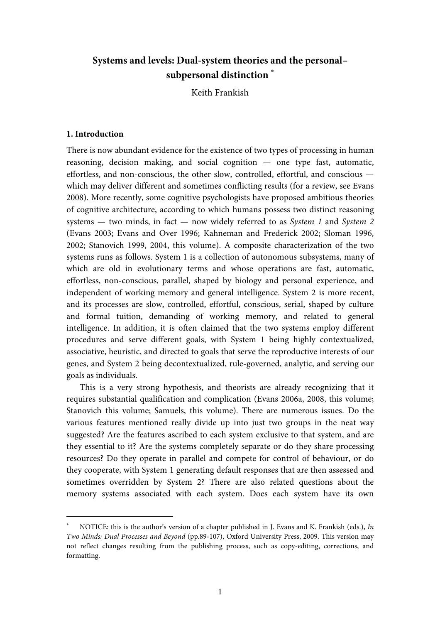# **Systems and levels: Dual-system theories and the personal– subpersonal distinction** <sup>∗</sup>

Keith Frankish

## **1. Introduction**

-

There is now abundant evidence for the existence of two types of processing in human reasoning, decision making, and social cognition — one type fast, automatic, effortless, and non-conscious, the other slow, controlled, effortful, and conscious which may deliver different and sometimes conflicting results (for a review, see Evans 2008). More recently, some cognitive psychologists have proposed ambitious theories of cognitive architecture, according to which humans possess two distinct reasoning systems — two minds, in fact — now widely referred to as System 1 and System 2 (Evans 2003; Evans and Over 1996; Kahneman and Frederick 2002; Sloman 1996, 2002; Stanovich 1999, 2004, this volume). A composite characterization of the two systems runs as follows. System 1 is a collection of autonomous subsystems, many of which are old in evolutionary terms and whose operations are fast, automatic, effortless, non-conscious, parallel, shaped by biology and personal experience, and independent of working memory and general intelligence. System 2 is more recent, and its processes are slow, controlled, effortful, conscious, serial, shaped by culture and formal tuition, demanding of working memory, and related to general intelligence. In addition, it is often claimed that the two systems employ different procedures and serve different goals, with System 1 being highly contextualized, associative, heuristic, and directed to goals that serve the reproductive interests of our genes, and System 2 being decontextualized, rule-governed, analytic, and serving our goals as individuals.

This is a very strong hypothesis, and theorists are already recognizing that it requires substantial qualification and complication (Evans 2006a, 2008, this volume; Stanovich this volume; Samuels, this volume). There are numerous issues. Do the various features mentioned really divide up into just two groups in the neat way suggested? Are the features ascribed to each system exclusive to that system, and are they essential to it? Are the systems completely separate or do they share processing resources? Do they operate in parallel and compete for control of behaviour, or do they cooperate, with System 1 generating default responses that are then assessed and sometimes overridden by System 2? There are also related questions about the memory systems associated with each system. Does each system have its own

<sup>∗</sup> NOTICE: this is the author's version of a chapter published in J. Evans and K. Frankish (eds.), In Two Minds: Dual Processes and Beyond (pp.89-107), Oxford University Press, 2009. This version may not reflect changes resulting from the publishing process, such as copy-editing, corrections, and formatting.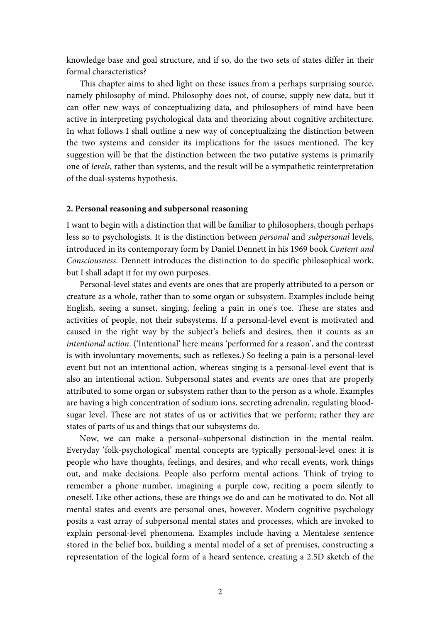knowledge base and goal structure, and if so, do the two sets of states differ in their formal characteristics?

This chapter aims to shed light on these issues from a perhaps surprising source, namely philosophy of mind. Philosophy does not, of course, supply new data, but it can offer new ways of conceptualizing data, and philosophers of mind have been active in interpreting psychological data and theorizing about cognitive architecture. In what follows I shall outline a new way of conceptualizing the distinction between the two systems and consider its implications for the issues mentioned. The key suggestion will be that the distinction between the two putative systems is primarily one of levels, rather than systems, and the result will be a sympathetic reinterpretation of the dual-systems hypothesis.

### **2. Personal reasoning and subpersonal reasoning**

I want to begin with a distinction that will be familiar to philosophers, though perhaps less so to psychologists. It is the distinction between personal and subpersonal levels, introduced in its contemporary form by Daniel Dennett in his 1969 book Content and Consciousness. Dennett introduces the distinction to do specific philosophical work, but I shall adapt it for my own purposes.

Personal-level states and events are ones that are properly attributed to a person or creature as a whole, rather than to some organ or subsystem. Examples include being English, seeing a sunset, singing, feeling a pain in one's toe. These are states and activities of people, not their subsystems. If a personal-level event is motivated and caused in the right way by the subject's beliefs and desires, then it counts as an intentional action. ('Intentional' here means 'performed for a reason', and the contrast is with involuntary movements, such as reflexes.) So feeling a pain is a personal-level event but not an intentional action, whereas singing is a personal-level event that is also an intentional action. Subpersonal states and events are ones that are properly attributed to some organ or subsystem rather than to the person as a whole. Examples are having a high concentration of sodium ions, secreting adrenalin, regulating bloodsugar level. These are not states of us or activities that we perform; rather they are states of parts of us and things that our subsystems do.

Now, we can make a personal–subpersonal distinction in the mental realm. Everyday 'folk-psychological' mental concepts are typically personal-level ones: it is people who have thoughts, feelings, and desires, and who recall events, work things out, and make decisions. People also perform mental actions. Think of trying to remember a phone number, imagining a purple cow, reciting a poem silently to oneself. Like other actions, these are things we do and can be motivated to do. Not all mental states and events are personal ones, however. Modern cognitive psychology posits a vast array of subpersonal mental states and processes, which are invoked to explain personal-level phenomena. Examples include having a Mentalese sentence stored in the belief box, building a mental model of a set of premises, constructing a representation of the logical form of a heard sentence, creating a 2.5D sketch of the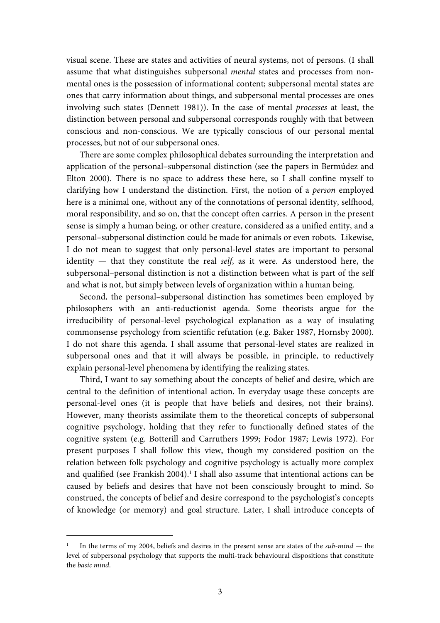visual scene. These are states and activities of neural systems, not of persons. (I shall assume that what distinguishes subpersonal mental states and processes from nonmental ones is the possession of informational content; subpersonal mental states are ones that carry information about things, and subpersonal mental processes are ones involving such states (Dennett 1981)). In the case of mental processes at least, the distinction between personal and subpersonal corresponds roughly with that between conscious and non-conscious. We are typically conscious of our personal mental processes, but not of our subpersonal ones.

There are some complex philosophical debates surrounding the interpretation and application of the personal–subpersonal distinction (see the papers in Bermúdez and Elton 2000). There is no space to address these here, so I shall confine myself to clarifying how I understand the distinction. First, the notion of a person employed here is a minimal one, without any of the connotations of personal identity, selfhood, moral responsibility, and so on, that the concept often carries. A person in the present sense is simply a human being, or other creature, considered as a unified entity, and a personal–subpersonal distinction could be made for animals or even robots. Likewise, I do not mean to suggest that only personal-level states are important to personal identity  $-$  that they constitute the real self, as it were. As understood here, the subpersonal–personal distinction is not a distinction between what is part of the self and what is not, but simply between levels of organization within a human being.

Second, the personal–subpersonal distinction has sometimes been employed by philosophers with an anti-reductionist agenda. Some theorists argue for the irreducibility of personal-level psychological explanation as a way of insulating commonsense psychology from scientific refutation (e.g. Baker 1987, Hornsby 2000). I do not share this agenda. I shall assume that personal-level states are realized in subpersonal ones and that it will always be possible, in principle, to reductively explain personal-level phenomena by identifying the realizing states.

Third, I want to say something about the concepts of belief and desire, which are central to the definition of intentional action. In everyday usage these concepts are personal-level ones (it is people that have beliefs and desires, not their brains). However, many theorists assimilate them to the theoretical concepts of subpersonal cognitive psychology, holding that they refer to functionally defined states of the cognitive system (e.g. Botterill and Carruthers 1999; Fodor 1987; Lewis 1972). For present purposes I shall follow this view, though my considered position on the relation between folk psychology and cognitive psychology is actually more complex and qualified (see Frankish 2004).<sup>1</sup> I shall also assume that intentional actions can be caused by beliefs and desires that have not been consciously brought to mind. So construed, the concepts of belief and desire correspond to the psychologist's concepts of knowledge (or memory) and goal structure. Later, I shall introduce concepts of

<sup>1</sup> In the terms of my 2004, beliefs and desires in the present sense are states of the  $sub-mind$  — the level of subpersonal psychology that supports the multi-track behavioural dispositions that constitute the basic mind.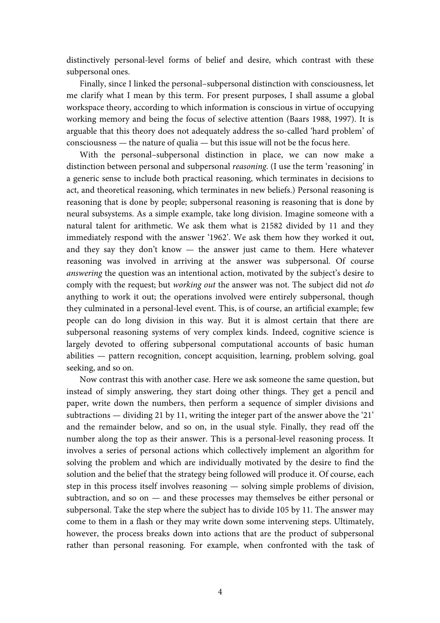distinctively personal-level forms of belief and desire, which contrast with these subpersonal ones.

Finally, since I linked the personal–subpersonal distinction with consciousness, let me clarify what I mean by this term. For present purposes, I shall assume a global workspace theory, according to which information is conscious in virtue of occupying working memory and being the focus of selective attention (Baars 1988, 1997). It is arguable that this theory does not adequately address the so-called 'hard problem' of consciousness — the nature of qualia — but this issue will not be the focus here.

With the personal–subpersonal distinction in place, we can now make a distinction between personal and subpersonal reasoning. (I use the term 'reasoning' in a generic sense to include both practical reasoning, which terminates in decisions to act, and theoretical reasoning, which terminates in new beliefs.) Personal reasoning is reasoning that is done by people; subpersonal reasoning is reasoning that is done by neural subsystems. As a simple example, take long division. Imagine someone with a natural talent for arithmetic. We ask them what is 21582 divided by 11 and they immediately respond with the answer '1962'. We ask them how they worked it out, and they say they don't know — the answer just came to them. Here whatever reasoning was involved in arriving at the answer was subpersonal. Of course answering the question was an intentional action, motivated by the subject's desire to comply with the request; but working out the answer was not. The subject did not do anything to work it out; the operations involved were entirely subpersonal, though they culminated in a personal-level event. This, is of course, an artificial example; few people can do long division in this way. But it is almost certain that there are subpersonal reasoning systems of very complex kinds. Indeed, cognitive science is largely devoted to offering subpersonal computational accounts of basic human abilities — pattern recognition, concept acquisition, learning, problem solving, goal seeking, and so on.

Now contrast this with another case. Here we ask someone the same question, but instead of simply answering, they start doing other things. They get a pencil and paper, write down the numbers, then perform a sequence of simpler divisions and subtractions — dividing 21 by 11, writing the integer part of the answer above the '21' and the remainder below, and so on, in the usual style. Finally, they read off the number along the top as their answer. This is a personal-level reasoning process. It involves a series of personal actions which collectively implement an algorithm for solving the problem and which are individually motivated by the desire to find the solution and the belief that the strategy being followed will produce it. Of course, each step in this process itself involves reasoning — solving simple problems of division, subtraction, and so on — and these processes may themselves be either personal or subpersonal. Take the step where the subject has to divide 105 by 11. The answer may come to them in a flash or they may write down some intervening steps. Ultimately, however, the process breaks down into actions that are the product of subpersonal rather than personal reasoning. For example, when confronted with the task of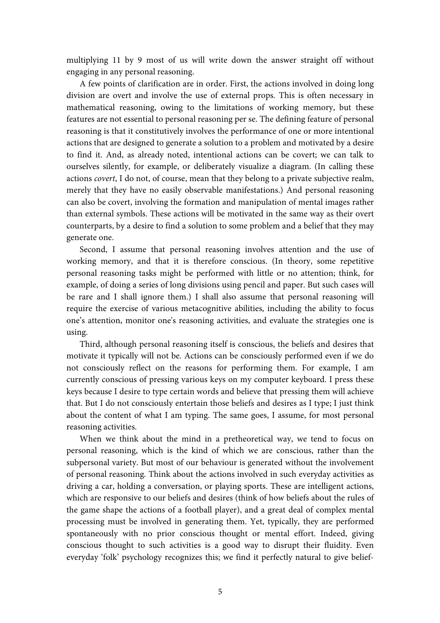multiplying 11 by 9 most of us will write down the answer straight off without engaging in any personal reasoning.

A few points of clarification are in order. First, the actions involved in doing long division are overt and involve the use of external props. This is often necessary in mathematical reasoning, owing to the limitations of working memory, but these features are not essential to personal reasoning per se. The defining feature of personal reasoning is that it constitutively involves the performance of one or more intentional actions that are designed to generate a solution to a problem and motivated by a desire to find it. And, as already noted, intentional actions can be covert; we can talk to ourselves silently, for example, or deliberately visualize a diagram. (In calling these actions covert, I do not, of course, mean that they belong to a private subjective realm, merely that they have no easily observable manifestations.) And personal reasoning can also be covert, involving the formation and manipulation of mental images rather than external symbols. These actions will be motivated in the same way as their overt counterparts, by a desire to find a solution to some problem and a belief that they may generate one.

Second, I assume that personal reasoning involves attention and the use of working memory, and that it is therefore conscious. (In theory, some repetitive personal reasoning tasks might be performed with little or no attention; think, for example, of doing a series of long divisions using pencil and paper. But such cases will be rare and I shall ignore them.) I shall also assume that personal reasoning will require the exercise of various metacognitive abilities, including the ability to focus one's attention, monitor one's reasoning activities, and evaluate the strategies one is using.

Third, although personal reasoning itself is conscious, the beliefs and desires that motivate it typically will not be. Actions can be consciously performed even if we do not consciously reflect on the reasons for performing them. For example, I am currently conscious of pressing various keys on my computer keyboard. I press these keys because I desire to type certain words and believe that pressing them will achieve that. But I do not consciously entertain those beliefs and desires as I type; I just think about the content of what I am typing. The same goes, I assume, for most personal reasoning activities.

When we think about the mind in a pretheoretical way, we tend to focus on personal reasoning, which is the kind of which we are conscious, rather than the subpersonal variety. But most of our behaviour is generated without the involvement of personal reasoning. Think about the actions involved in such everyday activities as driving a car, holding a conversation, or playing sports. These are intelligent actions, which are responsive to our beliefs and desires (think of how beliefs about the rules of the game shape the actions of a football player), and a great deal of complex mental processing must be involved in generating them. Yet, typically, they are performed spontaneously with no prior conscious thought or mental effort. Indeed, giving conscious thought to such activities is a good way to disrupt their fluidity. Even everyday 'folk' psychology recognizes this; we find it perfectly natural to give belief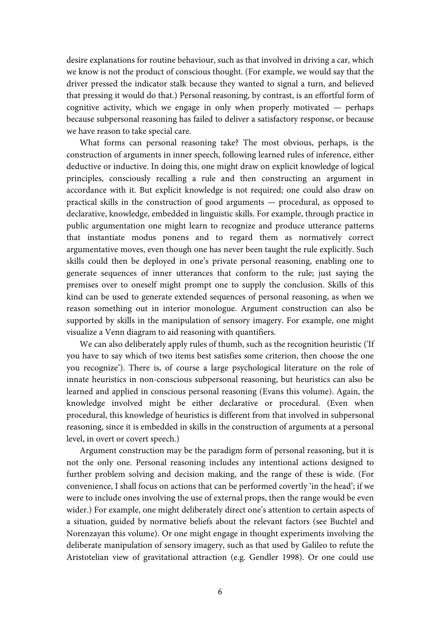desire explanations for routine behaviour, such as that involved in driving a car, which we know is not the product of conscious thought. (For example, we would say that the driver pressed the indicator stalk because they wanted to signal a turn, and believed that pressing it would do that.) Personal reasoning, by contrast, is an effortful form of cognitive activity, which we engage in only when properly motivated — perhaps because subpersonal reasoning has failed to deliver a satisfactory response, or because we have reason to take special care.

What forms can personal reasoning take? The most obvious, perhaps, is the construction of arguments in inner speech, following learned rules of inference, either deductive or inductive. In doing this, one might draw on explicit knowledge of logical principles, consciously recalling a rule and then constructing an argument in accordance with it. But explicit knowledge is not required; one could also draw on practical skills in the construction of good arguments — procedural, as opposed to declarative, knowledge, embedded in linguistic skills. For example, through practice in public argumentation one might learn to recognize and produce utterance patterns that instantiate modus ponens and to regard them as normatively correct argumentative moves, even though one has never been taught the rule explicitly. Such skills could then be deployed in one's private personal reasoning, enabling one to generate sequences of inner utterances that conform to the rule; just saying the premises over to oneself might prompt one to supply the conclusion. Skills of this kind can be used to generate extended sequences of personal reasoning, as when we reason something out in interior monologue. Argument construction can also be supported by skills in the manipulation of sensory imagery. For example, one might visualize a Venn diagram to aid reasoning with quantifiers.

We can also deliberately apply rules of thumb, such as the recognition heuristic ('If you have to say which of two items best satisfies some criterion, then choose the one you recognize'). There is, of course a large psychological literature on the role of innate heuristics in non-conscious subpersonal reasoning, but heuristics can also be learned and applied in conscious personal reasoning (Evans this volume). Again, the knowledge involved might be either declarative or procedural. (Even when procedural, this knowledge of heuristics is different from that involved in subpersonal reasoning, since it is embedded in skills in the construction of arguments at a personal level, in overt or covert speech.)

Argument construction may be the paradigm form of personal reasoning, but it is not the only one. Personal reasoning includes any intentional actions designed to further problem solving and decision making, and the range of these is wide. (For convenience, I shall focus on actions that can be performed covertly 'in the head'; if we were to include ones involving the use of external props, then the range would be even wider.) For example, one might deliberately direct one's attention to certain aspects of a situation, guided by normative beliefs about the relevant factors (see Buchtel and Norenzayan this volume). Or one might engage in thought experiments involving the deliberate manipulation of sensory imagery, such as that used by Galileo to refute the Aristotelian view of gravitational attraction (e.g. Gendler 1998). Or one could use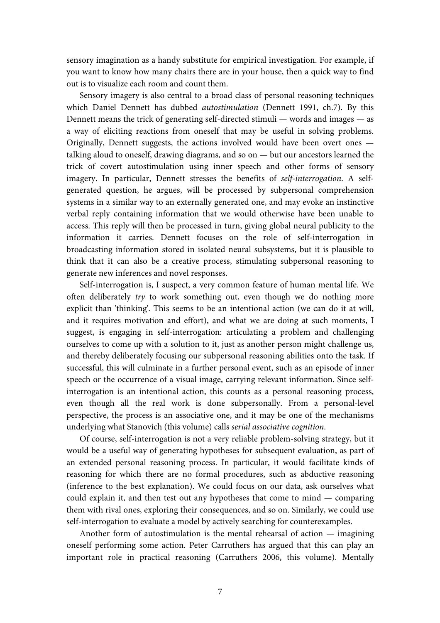sensory imagination as a handy substitute for empirical investigation. For example, if you want to know how many chairs there are in your house, then a quick way to find out is to visualize each room and count them.

Sensory imagery is also central to a broad class of personal reasoning techniques which Daniel Dennett has dubbed autostimulation (Dennett 1991, ch.7). By this Dennett means the trick of generating self-directed stimuli — words and images — as a way of eliciting reactions from oneself that may be useful in solving problems. Originally, Dennett suggests, the actions involved would have been overt ones talking aloud to oneself, drawing diagrams, and so on — but our ancestors learned the trick of covert autostimulation using inner speech and other forms of sensory imagery. In particular, Dennett stresses the benefits of self-interrogation. A selfgenerated question, he argues, will be processed by subpersonal comprehension systems in a similar way to an externally generated one, and may evoke an instinctive verbal reply containing information that we would otherwise have been unable to access. This reply will then be processed in turn, giving global neural publicity to the information it carries. Dennett focuses on the role of self-interrogation in broadcasting information stored in isolated neural subsystems, but it is plausible to think that it can also be a creative process, stimulating subpersonal reasoning to generate new inferences and novel responses.

Self-interrogation is, I suspect, a very common feature of human mental life. We often deliberately try to work something out, even though we do nothing more explicit than 'thinking'. This seems to be an intentional action (we can do it at will, and it requires motivation and effort), and what we are doing at such moments, I suggest, is engaging in self-interrogation: articulating a problem and challenging ourselves to come up with a solution to it, just as another person might challenge us, and thereby deliberately focusing our subpersonal reasoning abilities onto the task. If successful, this will culminate in a further personal event, such as an episode of inner speech or the occurrence of a visual image, carrying relevant information. Since selfinterrogation is an intentional action, this counts as a personal reasoning process, even though all the real work is done subpersonally. From a personal-level perspective, the process is an associative one, and it may be one of the mechanisms underlying what Stanovich (this volume) calls serial associative cognition.

Of course, self-interrogation is not a very reliable problem-solving strategy, but it would be a useful way of generating hypotheses for subsequent evaluation, as part of an extended personal reasoning process. In particular, it would facilitate kinds of reasoning for which there are no formal procedures, such as abductive reasoning (inference to the best explanation). We could focus on our data, ask ourselves what could explain it, and then test out any hypotheses that come to mind — comparing them with rival ones, exploring their consequences, and so on. Similarly, we could use self-interrogation to evaluate a model by actively searching for counterexamples.

Another form of autostimulation is the mental rehearsal of action — imagining oneself performing some action. Peter Carruthers has argued that this can play an important role in practical reasoning (Carruthers 2006, this volume). Mentally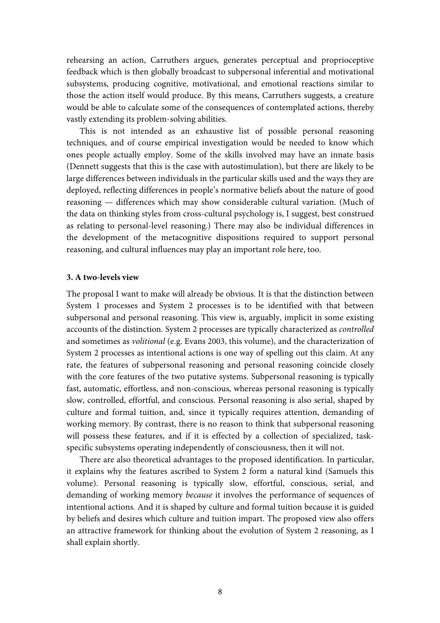rehearsing an action, Carruthers argues, generates perceptual and proprioceptive feedback which is then globally broadcast to subpersonal inferential and motivational subsystems, producing cognitive, motivational, and emotional reactions similar to those the action itself would produce. By this means, Carruthers suggests, a creature would be able to calculate some of the consequences of contemplated actions, thereby vastly extending its problem-solving abilities.

This is not intended as an exhaustive list of possible personal reasoning techniques, and of course empirical investigation would be needed to know which ones people actually employ. Some of the skills involved may have an innate basis (Dennett suggests that this is the case with autostimulation), but there are likely to be large differences between individuals in the particular skills used and the ways they are deployed, reflecting differences in people's normative beliefs about the nature of good reasoning — differences which may show considerable cultural variation. (Much of the data on thinking styles from cross-cultural psychology is, I suggest, best construed as relating to personal-level reasoning.) There may also be individual differences in the development of the metacognitive dispositions required to support personal reasoning, and cultural influences may play an important role here, too.

#### **3. A two-levels view**

The proposal I want to make will already be obvious. It is that the distinction between System 1 processes and System 2 processes is to be identified with that between subpersonal and personal reasoning. This view is, arguably, implicit in some existing accounts of the distinction. System 2 processes are typically characterized as controlled and sometimes as volitional (e.g. Evans 2003, this volume), and the characterization of System 2 processes as intentional actions is one way of spelling out this claim. At any rate, the features of subpersonal reasoning and personal reasoning coincide closely with the core features of the two putative systems. Subpersonal reasoning is typically fast, automatic, effortless, and non-conscious, whereas personal reasoning is typically slow, controlled, effortful, and conscious. Personal reasoning is also serial, shaped by culture and formal tuition, and, since it typically requires attention, demanding of working memory. By contrast, there is no reason to think that subpersonal reasoning will possess these features, and if it is effected by a collection of specialized, taskspecific subsystems operating independently of consciousness, then it will not.

There are also theoretical advantages to the proposed identification. In particular, it explains why the features ascribed to System 2 form a natural kind (Samuels this volume). Personal reasoning is typically slow, effortful, conscious, serial, and demanding of working memory because it involves the performance of sequences of intentional actions. And it is shaped by culture and formal tuition because it is guided by beliefs and desires which culture and tuition impart. The proposed view also offers an attractive framework for thinking about the evolution of System 2 reasoning, as I shall explain shortly.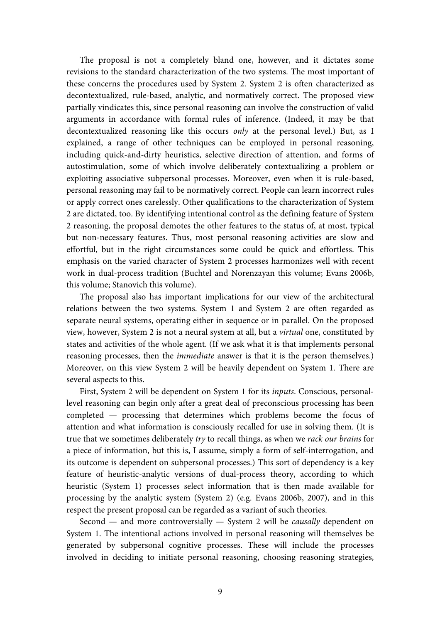The proposal is not a completely bland one, however, and it dictates some revisions to the standard characterization of the two systems. The most important of these concerns the procedures used by System 2. System 2 is often characterized as decontextualized, rule-based, analytic, and normatively correct. The proposed view partially vindicates this, since personal reasoning can involve the construction of valid arguments in accordance with formal rules of inference. (Indeed, it may be that decontextualized reasoning like this occurs only at the personal level.) But, as I explained, a range of other techniques can be employed in personal reasoning, including quick-and-dirty heuristics, selective direction of attention, and forms of autostimulation, some of which involve deliberately contextualizing a problem or exploiting associative subpersonal processes. Moreover, even when it is rule-based, personal reasoning may fail to be normatively correct. People can learn incorrect rules or apply correct ones carelessly. Other qualifications to the characterization of System 2 are dictated, too. By identifying intentional control as the defining feature of System 2 reasoning, the proposal demotes the other features to the status of, at most, typical but non-necessary features. Thus, most personal reasoning activities are slow and effortful, but in the right circumstances some could be quick and effortless. This emphasis on the varied character of System 2 processes harmonizes well with recent work in dual-process tradition (Buchtel and Norenzayan this volume; Evans 2006b, this volume; Stanovich this volume).

The proposal also has important implications for our view of the architectural relations between the two systems. System 1 and System 2 are often regarded as separate neural systems, operating either in sequence or in parallel. On the proposed view, however, System 2 is not a neural system at all, but a virtual one, constituted by states and activities of the whole agent. (If we ask what it is that implements personal reasoning processes, then the immediate answer is that it is the person themselves.) Moreover, on this view System 2 will be heavily dependent on System 1. There are several aspects to this.

First, System 2 will be dependent on System 1 for its inputs. Conscious, personallevel reasoning can begin only after a great deal of preconscious processing has been completed — processing that determines which problems become the focus of attention and what information is consciously recalled for use in solving them. (It is true that we sometimes deliberately try to recall things, as when we rack our brains for a piece of information, but this is, I assume, simply a form of self-interrogation, and its outcome is dependent on subpersonal processes.) This sort of dependency is a key feature of heuristic-analytic versions of dual-process theory, according to which heuristic (System 1) processes select information that is then made available for processing by the analytic system (System 2) (e.g. Evans 2006b, 2007), and in this respect the present proposal can be regarded as a variant of such theories.

Second — and more controversially — System 2 will be causally dependent on System 1. The intentional actions involved in personal reasoning will themselves be generated by subpersonal cognitive processes. These will include the processes involved in deciding to initiate personal reasoning, choosing reasoning strategies,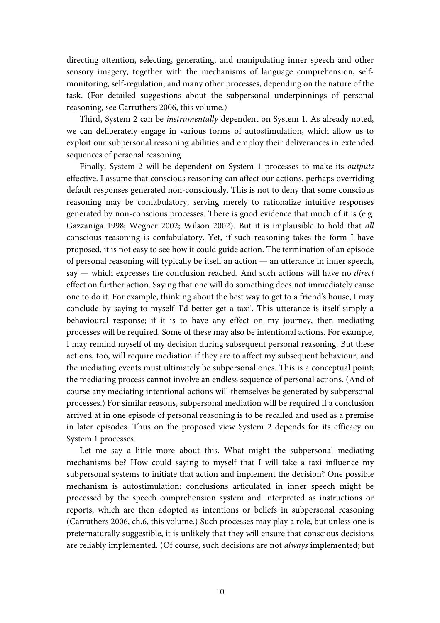directing attention, selecting, generating, and manipulating inner speech and other sensory imagery, together with the mechanisms of language comprehension, selfmonitoring, self-regulation, and many other processes, depending on the nature of the task. (For detailed suggestions about the subpersonal underpinnings of personal reasoning, see Carruthers 2006, this volume.)

Third, System 2 can be instrumentally dependent on System 1. As already noted, we can deliberately engage in various forms of autostimulation, which allow us to exploit our subpersonal reasoning abilities and employ their deliverances in extended sequences of personal reasoning.

Finally, System 2 will be dependent on System 1 processes to make its outputs effective. I assume that conscious reasoning can affect our actions, perhaps overriding default responses generated non-consciously. This is not to deny that some conscious reasoning may be confabulatory, serving merely to rationalize intuitive responses generated by non-conscious processes. There is good evidence that much of it is (e.g. Gazzaniga 1998; Wegner 2002; Wilson 2002). But it is implausible to hold that all conscious reasoning is confabulatory. Yet, if such reasoning takes the form I have proposed, it is not easy to see how it could guide action. The termination of an episode of personal reasoning will typically be itself an action — an utterance in inner speech, say — which expresses the conclusion reached. And such actions will have no *direct* effect on further action. Saying that one will do something does not immediately cause one to do it. For example, thinking about the best way to get to a friend's house, I may conclude by saying to myself 'I'd better get a taxi'. This utterance is itself simply a behavioural response; if it is to have any effect on my journey, then mediating processes will be required. Some of these may also be intentional actions. For example, I may remind myself of my decision during subsequent personal reasoning. But these actions, too, will require mediation if they are to affect my subsequent behaviour, and the mediating events must ultimately be subpersonal ones. This is a conceptual point; the mediating process cannot involve an endless sequence of personal actions. (And of course any mediating intentional actions will themselves be generated by subpersonal processes.) For similar reasons, subpersonal mediation will be required if a conclusion arrived at in one episode of personal reasoning is to be recalled and used as a premise in later episodes. Thus on the proposed view System 2 depends for its efficacy on System 1 processes.

Let me say a little more about this. What might the subpersonal mediating mechanisms be? How could saying to myself that I will take a taxi influence my subpersonal systems to initiate that action and implement the decision? One possible mechanism is autostimulation: conclusions articulated in inner speech might be processed by the speech comprehension system and interpreted as instructions or reports, which are then adopted as intentions or beliefs in subpersonal reasoning (Carruthers 2006, ch.6, this volume.) Such processes may play a role, but unless one is preternaturally suggestible, it is unlikely that they will ensure that conscious decisions are reliably implemented. (Of course, such decisions are not always implemented; but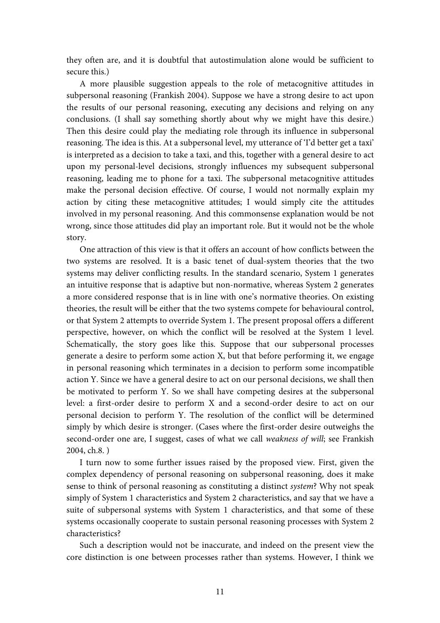they often are, and it is doubtful that autostimulation alone would be sufficient to secure this.)

A more plausible suggestion appeals to the role of metacognitive attitudes in subpersonal reasoning (Frankish 2004). Suppose we have a strong desire to act upon the results of our personal reasoning, executing any decisions and relying on any conclusions. (I shall say something shortly about why we might have this desire.) Then this desire could play the mediating role through its influence in subpersonal reasoning. The idea is this. At a subpersonal level, my utterance of 'I'd better get a taxi' is interpreted as a decision to take a taxi, and this, together with a general desire to act upon my personal-level decisions, strongly influences my subsequent subpersonal reasoning, leading me to phone for a taxi. The subpersonal metacognitive attitudes make the personal decision effective. Of course, I would not normally explain my action by citing these metacognitive attitudes; I would simply cite the attitudes involved in my personal reasoning. And this commonsense explanation would be not wrong, since those attitudes did play an important role. But it would not be the whole story.

One attraction of this view is that it offers an account of how conflicts between the two systems are resolved. It is a basic tenet of dual-system theories that the two systems may deliver conflicting results. In the standard scenario, System 1 generates an intuitive response that is adaptive but non-normative, whereas System 2 generates a more considered response that is in line with one's normative theories. On existing theories, the result will be either that the two systems compete for behavioural control, or that System 2 attempts to override System 1. The present proposal offers a different perspective, however, on which the conflict will be resolved at the System 1 level. Schematically, the story goes like this. Suppose that our subpersonal processes generate a desire to perform some action X, but that before performing it, we engage in personal reasoning which terminates in a decision to perform some incompatible action Y. Since we have a general desire to act on our personal decisions, we shall then be motivated to perform Y. So we shall have competing desires at the subpersonal level: a first-order desire to perform X and a second-order desire to act on our personal decision to perform Y. The resolution of the conflict will be determined simply by which desire is stronger. (Cases where the first-order desire outweighs the second-order one are, I suggest, cases of what we call weakness of will; see Frankish 2004, ch.8. )

I turn now to some further issues raised by the proposed view. First, given the complex dependency of personal reasoning on subpersonal reasoning, does it make sense to think of personal reasoning as constituting a distinct system? Why not speak simply of System 1 characteristics and System 2 characteristics, and say that we have a suite of subpersonal systems with System 1 characteristics, and that some of these systems occasionally cooperate to sustain personal reasoning processes with System 2 characteristics?

Such a description would not be inaccurate, and indeed on the present view the core distinction is one between processes rather than systems. However, I think we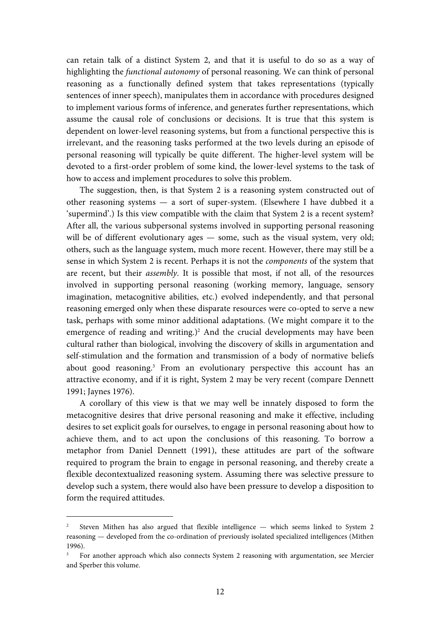can retain talk of a distinct System 2, and that it is useful to do so as a way of highlighting the functional autonomy of personal reasoning. We can think of personal reasoning as a functionally defined system that takes representations (typically sentences of inner speech), manipulates them in accordance with procedures designed to implement various forms of inference, and generates further representations, which assume the causal role of conclusions or decisions. It is true that this system is dependent on lower-level reasoning systems, but from a functional perspective this is irrelevant, and the reasoning tasks performed at the two levels during an episode of personal reasoning will typically be quite different. The higher-level system will be devoted to a first-order problem of some kind, the lower-level systems to the task of how to access and implement procedures to solve this problem.

The suggestion, then, is that System 2 is a reasoning system constructed out of other reasoning systems — a sort of super-system. (Elsewhere I have dubbed it a 'supermind'.) Is this view compatible with the claim that System 2 is a recent system? After all, the various subpersonal systems involved in supporting personal reasoning will be of different evolutionary ages — some, such as the visual system, very old; others, such as the language system, much more recent. However, there may still be a sense in which System 2 is recent. Perhaps it is not the components of the system that are recent, but their assembly. It is possible that most, if not all, of the resources involved in supporting personal reasoning (working memory, language, sensory imagination, metacognitive abilities, etc.) evolved independently, and that personal reasoning emerged only when these disparate resources were co-opted to serve a new task, perhaps with some minor additional adaptations. (We might compare it to the emergence of reading and writing.)<sup>2</sup> And the crucial developments may have been cultural rather than biological, involving the discovery of skills in argumentation and self-stimulation and the formation and transmission of a body of normative beliefs about good reasoning.<sup>3</sup> From an evolutionary perspective this account has an attractive economy, and if it is right, System 2 may be very recent (compare Dennett 1991; Jaynes 1976).

A corollary of this view is that we may well be innately disposed to form the metacognitive desires that drive personal reasoning and make it effective, including desires to set explicit goals for ourselves, to engage in personal reasoning about how to achieve them, and to act upon the conclusions of this reasoning. To borrow a metaphor from Daniel Dennett (1991), these attitudes are part of the software required to program the brain to engage in personal reasoning, and thereby create a flexible decontextualized reasoning system. Assuming there was selective pressure to develop such a system, there would also have been pressure to develop a disposition to form the required attitudes.

<sup>2</sup> Steven Mithen has also argued that flexible intelligence — which seems linked to System 2 reasoning — developed from the co-ordination of previously isolated specialized intelligences (Mithen 1996).

<sup>3</sup> For another approach which also connects System 2 reasoning with argumentation, see Mercier and Sperber this volume.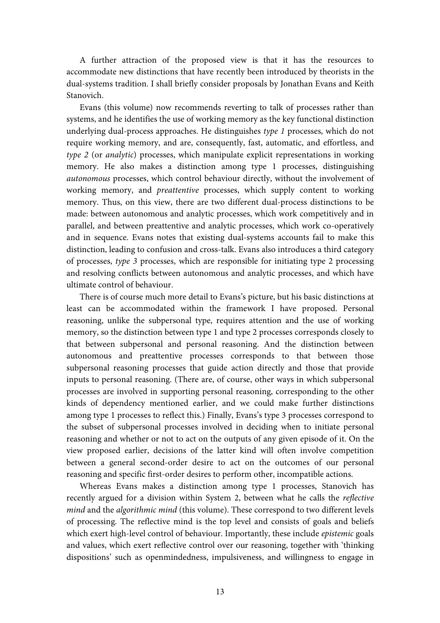A further attraction of the proposed view is that it has the resources to accommodate new distinctions that have recently been introduced by theorists in the dual-systems tradition. I shall briefly consider proposals by Jonathan Evans and Keith Stanovich.

Evans (this volume) now recommends reverting to talk of processes rather than systems, and he identifies the use of working memory as the key functional distinction underlying dual-process approaches. He distinguishes type 1 processes, which do not require working memory, and are, consequently, fast, automatic, and effortless, and type 2 (or analytic) processes, which manipulate explicit representations in working memory. He also makes a distinction among type 1 processes, distinguishing autonomous processes, which control behaviour directly, without the involvement of working memory, and preattentive processes, which supply content to working memory. Thus, on this view, there are two different dual-process distinctions to be made: between autonomous and analytic processes, which work competitively and in parallel, and between preattentive and analytic processes, which work co-operatively and in sequence. Evans notes that existing dual-systems accounts fail to make this distinction, leading to confusion and cross-talk. Evans also introduces a third category of processes, type 3 processes, which are responsible for initiating type 2 processing and resolving conflicts between autonomous and analytic processes, and which have ultimate control of behaviour.

There is of course much more detail to Evans's picture, but his basic distinctions at least can be accommodated within the framework I have proposed. Personal reasoning, unlike the subpersonal type, requires attention and the use of working memory, so the distinction between type 1 and type 2 processes corresponds closely to that between subpersonal and personal reasoning. And the distinction between autonomous and preattentive processes corresponds to that between those subpersonal reasoning processes that guide action directly and those that provide inputs to personal reasoning. (There are, of course, other ways in which subpersonal processes are involved in supporting personal reasoning, corresponding to the other kinds of dependency mentioned earlier, and we could make further distinctions among type 1 processes to reflect this.) Finally, Evans's type 3 processes correspond to the subset of subpersonal processes involved in deciding when to initiate personal reasoning and whether or not to act on the outputs of any given episode of it. On the view proposed earlier, decisions of the latter kind will often involve competition between a general second-order desire to act on the outcomes of our personal reasoning and specific first-order desires to perform other, incompatible actions.

Whereas Evans makes a distinction among type 1 processes, Stanovich has recently argued for a division within System 2, between what he calls the reflective mind and the algorithmic mind (this volume). These correspond to two different levels of processing. The reflective mind is the top level and consists of goals and beliefs which exert high-level control of behaviour. Importantly, these include *epistemic* goals and values, which exert reflective control over our reasoning, together with 'thinking dispositions' such as openmindedness, impulsiveness, and willingness to engage in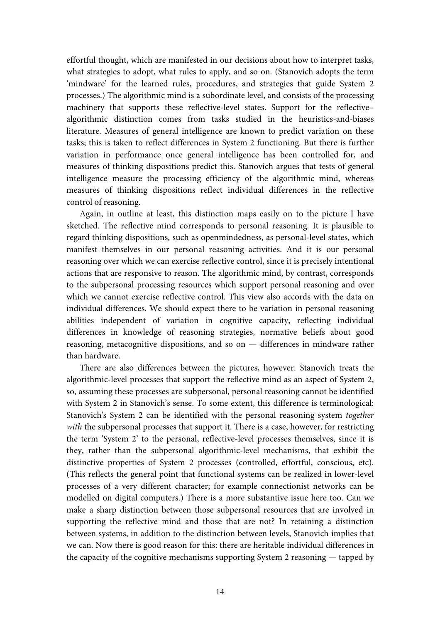effortful thought, which are manifested in our decisions about how to interpret tasks, what strategies to adopt, what rules to apply, and so on. (Stanovich adopts the term 'mindware' for the learned rules, procedures, and strategies that guide System 2 processes.) The algorithmic mind is a subordinate level, and consists of the processing machinery that supports these reflective-level states. Support for the reflective– algorithmic distinction comes from tasks studied in the heuristics-and-biases literature. Measures of general intelligence are known to predict variation on these tasks; this is taken to reflect differences in System 2 functioning. But there is further variation in performance once general intelligence has been controlled for, and measures of thinking dispositions predict this. Stanovich argues that tests of general intelligence measure the processing efficiency of the algorithmic mind, whereas measures of thinking dispositions reflect individual differences in the reflective control of reasoning.

Again, in outline at least, this distinction maps easily on to the picture I have sketched. The reflective mind corresponds to personal reasoning. It is plausible to regard thinking dispositions, such as openmindedness, as personal-level states, which manifest themselves in our personal reasoning activities. And it is our personal reasoning over which we can exercise reflective control, since it is precisely intentional actions that are responsive to reason. The algorithmic mind, by contrast, corresponds to the subpersonal processing resources which support personal reasoning and over which we cannot exercise reflective control. This view also accords with the data on individual differences. We should expect there to be variation in personal reasoning abilities independent of variation in cognitive capacity, reflecting individual differences in knowledge of reasoning strategies, normative beliefs about good reasoning, metacognitive dispositions, and so on — differences in mindware rather than hardware.

There are also differences between the pictures, however. Stanovich treats the algorithmic-level processes that support the reflective mind as an aspect of System 2, so, assuming these processes are subpersonal, personal reasoning cannot be identified with System 2 in Stanovich's sense. To some extent, this difference is terminological: Stanovich's System 2 can be identified with the personal reasoning system together with the subpersonal processes that support it. There is a case, however, for restricting the term 'System 2' to the personal, reflective-level processes themselves, since it is they, rather than the subpersonal algorithmic-level mechanisms, that exhibit the distinctive properties of System 2 processes (controlled, effortful, conscious, etc). (This reflects the general point that functional systems can be realized in lower-level processes of a very different character; for example connectionist networks can be modelled on digital computers.) There is a more substantive issue here too. Can we make a sharp distinction between those subpersonal resources that are involved in supporting the reflective mind and those that are not? In retaining a distinction between systems, in addition to the distinction between levels, Stanovich implies that we can. Now there is good reason for this: there are heritable individual differences in the capacity of the cognitive mechanisms supporting System 2 reasoning — tapped by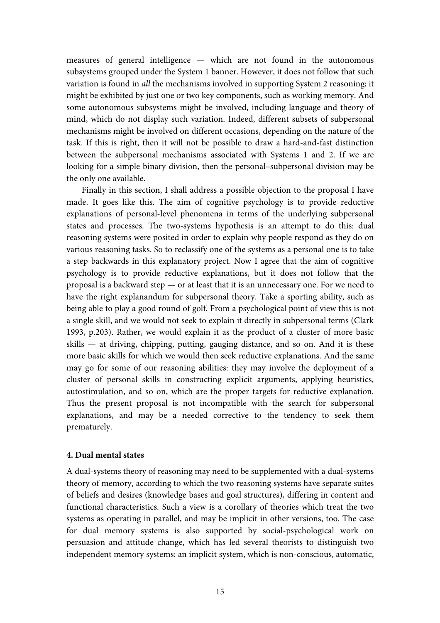measures of general intelligence — which are not found in the autonomous subsystems grouped under the System 1 banner. However, it does not follow that such variation is found in all the mechanisms involved in supporting System 2 reasoning; it might be exhibited by just one or two key components, such as working memory. And some autonomous subsystems might be involved, including language and theory of mind, which do not display such variation. Indeed, different subsets of subpersonal mechanisms might be involved on different occasions, depending on the nature of the task. If this is right, then it will not be possible to draw a hard-and-fast distinction between the subpersonal mechanisms associated with Systems 1 and 2. If we are looking for a simple binary division, then the personal–subpersonal division may be the only one available.

 Finally in this section, I shall address a possible objection to the proposal I have made. It goes like this. The aim of cognitive psychology is to provide reductive explanations of personal-level phenomena in terms of the underlying subpersonal states and processes. The two-systems hypothesis is an attempt to do this: dual reasoning systems were posited in order to explain why people respond as they do on various reasoning tasks. So to reclassify one of the systems as a personal one is to take a step backwards in this explanatory project. Now I agree that the aim of cognitive psychology is to provide reductive explanations, but it does not follow that the proposal is a backward step — or at least that it is an unnecessary one. For we need to have the right explanandum for subpersonal theory. Take a sporting ability, such as being able to play a good round of golf. From a psychological point of view this is not a single skill, and we would not seek to explain it directly in subpersonal terms (Clark 1993, p.203). Rather, we would explain it as the product of a cluster of more basic skills — at driving, chipping, putting, gauging distance, and so on. And it is these more basic skills for which we would then seek reductive explanations. And the same may go for some of our reasoning abilities: they may involve the deployment of a cluster of personal skills in constructing explicit arguments, applying heuristics, autostimulation, and so on, which are the proper targets for reductive explanation. Thus the present proposal is not incompatible with the search for subpersonal explanations, and may be a needed corrective to the tendency to seek them prematurely.

### **4. Dual mental states**

A dual-systems theory of reasoning may need to be supplemented with a dual-systems theory of memory, according to which the two reasoning systems have separate suites of beliefs and desires (knowledge bases and goal structures), differing in content and functional characteristics. Such a view is a corollary of theories which treat the two systems as operating in parallel, and may be implicit in other versions, too. The case for dual memory systems is also supported by social-psychological work on persuasion and attitude change, which has led several theorists to distinguish two independent memory systems: an implicit system, which is non-conscious, automatic,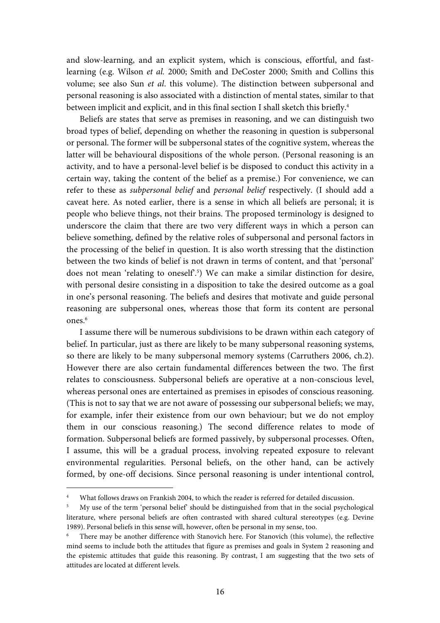and slow-learning, and an explicit system, which is conscious, effortful, and fastlearning (e.g. Wilson et al. 2000; Smith and DeCoster 2000; Smith and Collins this volume; see also Sun et al. this volume). The distinction between subpersonal and personal reasoning is also associated with a distinction of mental states, similar to that between implicit and explicit, and in this final section I shall sketch this briefly.<sup>4</sup>

Beliefs are states that serve as premises in reasoning, and we can distinguish two broad types of belief, depending on whether the reasoning in question is subpersonal or personal. The former will be subpersonal states of the cognitive system, whereas the latter will be behavioural dispositions of the whole person. (Personal reasoning is an activity, and to have a personal-level belief is be disposed to conduct this activity in a certain way, taking the content of the belief as a premise.) For convenience, we can refer to these as subpersonal belief and personal belief respectively. (I should add a caveat here. As noted earlier, there is a sense in which all beliefs are personal; it is people who believe things, not their brains. The proposed terminology is designed to underscore the claim that there are two very different ways in which a person can believe something, defined by the relative roles of subpersonal and personal factors in the processing of the belief in question. It is also worth stressing that the distinction between the two kinds of belief is not drawn in terms of content, and that 'personal' does not mean 'relating to oneself'.<sup>5</sup>) We can make a similar distinction for desire, with personal desire consisting in a disposition to take the desired outcome as a goal in one's personal reasoning. The beliefs and desires that motivate and guide personal reasoning are subpersonal ones, whereas those that form its content are personal ones.<sup>6</sup>

I assume there will be numerous subdivisions to be drawn within each category of belief. In particular, just as there are likely to be many subpersonal reasoning systems, so there are likely to be many subpersonal memory systems (Carruthers 2006, ch.2). However there are also certain fundamental differences between the two. The first relates to consciousness. Subpersonal beliefs are operative at a non-conscious level, whereas personal ones are entertained as premises in episodes of conscious reasoning. (This is not to say that we are not aware of possessing our subpersonal beliefs; we may, for example, infer their existence from our own behaviour; but we do not employ them in our conscious reasoning.) The second difference relates to mode of formation. Subpersonal beliefs are formed passively, by subpersonal processes. Often, I assume, this will be a gradual process, involving repeated exposure to relevant environmental regularities. Personal beliefs, on the other hand, can be actively formed, by one-off decisions. Since personal reasoning is under intentional control,

<sup>4</sup> What follows draws on Frankish 2004, to which the reader is referred for detailed discussion.

<sup>5</sup> My use of the term 'personal belief' should be distinguished from that in the social psychological literature, where personal beliefs are often contrasted with shared cultural stereotypes (e.g. Devine 1989). Personal beliefs in this sense will, however, often be personal in my sense, too.

<sup>6</sup> There may be another difference with Stanovich here. For Stanovich (this volume), the reflective mind seems to include both the attitudes that figure as premises and goals in System 2 reasoning and the epistemic attitudes that guide this reasoning. By contrast, I am suggesting that the two sets of attitudes are located at different levels.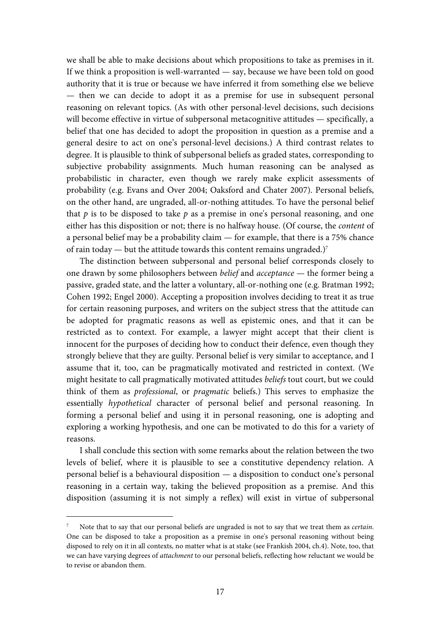we shall be able to make decisions about which propositions to take as premises in it. If we think a proposition is well-warranted — say, because we have been told on good authority that it is true or because we have inferred it from something else we believe — then we can decide to adopt it as a premise for use in subsequent personal reasoning on relevant topics. (As with other personal-level decisions, such decisions will become effective in virtue of subpersonal metacognitive attitudes — specifically, a belief that one has decided to adopt the proposition in question as a premise and a general desire to act on one's personal-level decisions.) A third contrast relates to degree. It is plausible to think of subpersonal beliefs as graded states, corresponding to subjective probability assignments. Much human reasoning can be analysed as probabilistic in character, even though we rarely make explicit assessments of probability (e.g. Evans and Over 2004; Oaksford and Chater 2007). Personal beliefs, on the other hand, are ungraded, all-or-nothing attitudes. To have the personal belief that  $p$  is to be disposed to take  $p$  as a premise in one's personal reasoning, and one either has this disposition or not; there is no halfway house. (Of course, the content of a personal belief may be a probability claim — for example, that there is a 75% chance of rain today — but the attitude towards this content remains ungraded.)<sup>7</sup>

The distinction between subpersonal and personal belief corresponds closely to one drawn by some philosophers between belief and acceptance — the former being a passive, graded state, and the latter a voluntary, all-or-nothing one (e.g. Bratman 1992; Cohen 1992; Engel 2000). Accepting a proposition involves deciding to treat it as true for certain reasoning purposes, and writers on the subject stress that the attitude can be adopted for pragmatic reasons as well as epistemic ones, and that it can be restricted as to context. For example, a lawyer might accept that their client is innocent for the purposes of deciding how to conduct their defence, even though they strongly believe that they are guilty. Personal belief is very similar to acceptance, and I assume that it, too, can be pragmatically motivated and restricted in context. (We might hesitate to call pragmatically motivated attitudes beliefs tout court, but we could think of them as professional, or pragmatic beliefs.) This serves to emphasize the essentially hypothetical character of personal belief and personal reasoning. In forming a personal belief and using it in personal reasoning, one is adopting and exploring a working hypothesis, and one can be motivated to do this for a variety of reasons.

I shall conclude this section with some remarks about the relation between the two levels of belief, where it is plausible to see a constitutive dependency relation. A personal belief is a behavioural disposition — a disposition to conduct one's personal reasoning in a certain way, taking the believed proposition as a premise. And this disposition (assuming it is not simply a reflex) will exist in virtue of subpersonal

<sup>7</sup> Note that to say that our personal beliefs are ungraded is not to say that we treat them as certain. One can be disposed to take a proposition as a premise in one's personal reasoning without being disposed to rely on it in all contexts, no matter what is at stake (see Frankish 2004, ch.4). Note, too, that we can have varying degrees of attachment to our personal beliefs, reflecting how reluctant we would be to revise or abandon them.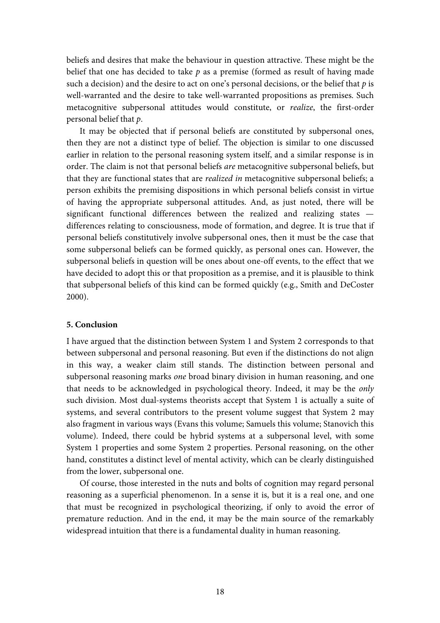beliefs and desires that make the behaviour in question attractive. These might be the belief that one has decided to take  $p$  as a premise (formed as result of having made such a decision) and the desire to act on one's personal decisions, or the belief that  $p$  is well-warranted and the desire to take well-warranted propositions as premises. Such metacognitive subpersonal attitudes would constitute, or realize, the first-order personal belief that p.

It may be objected that if personal beliefs are constituted by subpersonal ones, then they are not a distinct type of belief. The objection is similar to one discussed earlier in relation to the personal reasoning system itself, and a similar response is in order. The claim is not that personal beliefs are metacognitive subpersonal beliefs, but that they are functional states that are *realized in* metacognitive subpersonal beliefs; a person exhibits the premising dispositions in which personal beliefs consist in virtue of having the appropriate subpersonal attitudes. And, as just noted, there will be significant functional differences between the realized and realizing states differences relating to consciousness, mode of formation, and degree. It is true that if personal beliefs constitutively involve subpersonal ones, then it must be the case that some subpersonal beliefs can be formed quickly, as personal ones can. However, the subpersonal beliefs in question will be ones about one-off events, to the effect that we have decided to adopt this or that proposition as a premise, and it is plausible to think that subpersonal beliefs of this kind can be formed quickly (e.g., Smith and DeCoster 2000).

### **5. Conclusion**

I have argued that the distinction between System 1 and System 2 corresponds to that between subpersonal and personal reasoning. But even if the distinctions do not align in this way, a weaker claim still stands. The distinction between personal and subpersonal reasoning marks one broad binary division in human reasoning, and one that needs to be acknowledged in psychological theory. Indeed, it may be the only such division. Most dual-systems theorists accept that System 1 is actually a suite of systems, and several contributors to the present volume suggest that System 2 may also fragment in various ways (Evans this volume; Samuels this volume; Stanovich this volume). Indeed, there could be hybrid systems at a subpersonal level, with some System 1 properties and some System 2 properties. Personal reasoning, on the other hand, constitutes a distinct level of mental activity, which can be clearly distinguished from the lower, subpersonal one.

Of course, those interested in the nuts and bolts of cognition may regard personal reasoning as a superficial phenomenon. In a sense it is, but it is a real one, and one that must be recognized in psychological theorizing, if only to avoid the error of premature reduction. And in the end, it may be the main source of the remarkably widespread intuition that there is a fundamental duality in human reasoning.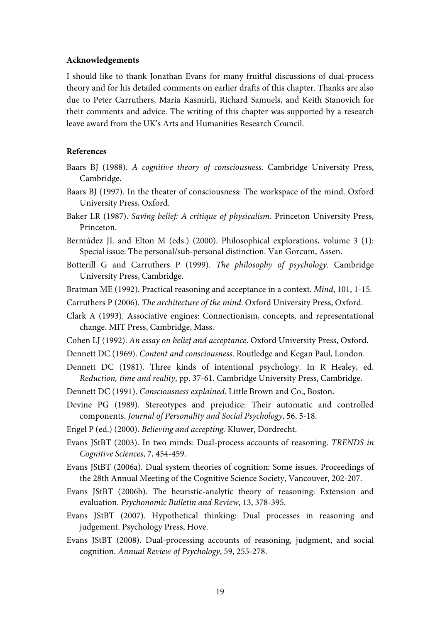#### **Acknowledgements**

I should like to thank Jonathan Evans for many fruitful discussions of dual-process theory and for his detailed comments on earlier drafts of this chapter. Thanks are also due to Peter Carruthers, Maria Kasmirli, Richard Samuels, and Keith Stanovich for their comments and advice. The writing of this chapter was supported by a research leave award from the UK's Arts and Humanities Research Council.

## **References**

- Baars BJ (1988). A cognitive theory of consciousness. Cambridge University Press, Cambridge.
- Baars BJ (1997). In the theater of consciousness: The workspace of the mind. Oxford University Press, Oxford.
- Baker LR (1987). Saving belief: A critique of physicalism. Princeton University Press, Princeton.
- Bermúdez JL and Elton M (eds.) (2000). Philosophical explorations, volume 3 (1): Special issue: The personal/sub-personal distinction. Van Gorcum, Assen.
- Botterill G and Carruthers P (1999). The philosophy of psychology. Cambridge University Press, Cambridge.
- Bratman ME (1992). Practical reasoning and acceptance in a context. Mind, 101, 1-15.
- Carruthers P (2006). The architecture of the mind. Oxford University Press, Oxford.
- Clark A (1993). Associative engines: Connectionism, concepts, and representational change. MIT Press, Cambridge, Mass.
- Cohen LJ (1992). An essay on belief and acceptance. Oxford University Press, Oxford.
- Dennett DC (1969). Content and consciousness. Routledge and Kegan Paul, London.
- Dennett DC (1981). Three kinds of intentional psychology. In R Healey, ed. Reduction, time and reality, pp. 37-61. Cambridge University Press, Cambridge.
- Dennett DC (1991). Consciousness explained. Little Brown and Co., Boston.
- Devine PG (1989). Stereotypes and prejudice: Their automatic and controlled components. Journal of Personality and Social Psychology, 56, 5-18.
- Engel P (ed.) (2000). Believing and accepting. Kluwer, Dordrecht.
- Evans JStBT (2003). In two minds: Dual-process accounts of reasoning. TRENDS in Cognitive Sciences, 7, 454-459.
- Evans JStBT (2006a). Dual system theories of cognition: Some issues. Proceedings of the 28th Annual Meeting of the Cognitive Science Society, Vancouver, 202-207.
- Evans JStBT (2006b). The heuristic-analytic theory of reasoning: Extension and evaluation. Psychonomic Bulletin and Review, 13, 378-395.
- Evans JStBT (2007). Hypothetical thinking: Dual processes in reasoning and judgement. Psychology Press, Hove.
- Evans JStBT (2008). Dual-processing accounts of reasoning, judgment, and social cognition. Annual Review of Psychology, 59, 255-278.